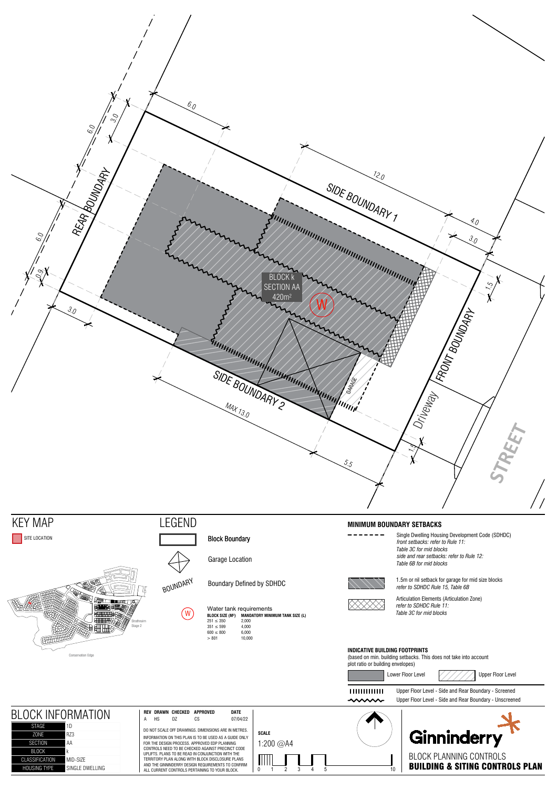